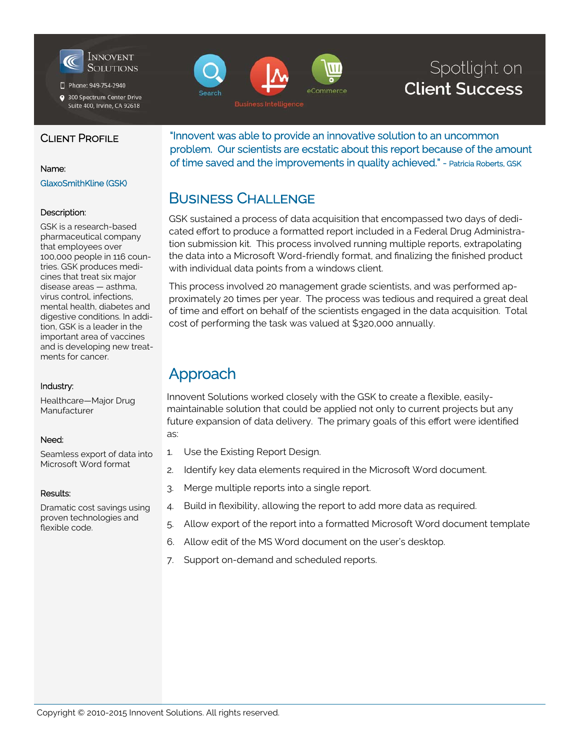

Phone: 949-754-2940

● 300 Spectrum Center Drive Suite 400, Irvine, CA 92618



# Spotlight on **Client Success**

### CLIENT PROFILE

#### Name:

#### GlaxoSmithKline (GSK)

#### Description:

GSK is a research-based pharmaceutical company that employees over 100,000 people in 116 countries. GSK produces medicines that treat six major disease areas — asthma, virus control, infections, mental health, diabetes and digestive conditions. In addition, GSK is a leader in the important area of vaccines and is developing new treatments for cancer.

#### Industry:

Healthcare—Major Drug Manufacturer

#### Need:

Seamless export of data into Microsoft Word format

#### Results:

Dramatic cost savings using proven technologies and flexible code.

"Innovent was able to provide an innovative solution to an uncommon problem. Our scientists are ecstatic about this report because of the amount of time saved and the improvements in quality achieved." - Patricia Roberts, GSK

## BUSINESS CHALLENGE

GSK sustained a process of data acquisition that encompassed two days of dedicated effort to produce a formatted report included in a Federal Drug Administration submission kit. This process involved running multiple reports, extrapolating the data into a Microsoft Word-friendly format, and finalizing the finished product with individual data points from a windows client.

This process involved 20 management grade scientists, and was performed approximately 20 times per year. The process was tedious and required a great deal of time and effort on behalf of the scientists engaged in the data acquisition. Total cost of performing the task was valued at \$320,000 annually.

## Approach

Innovent Solutions worked closely with the GSK to create a flexible, easilymaintainable solution that could be applied not only to current projects but any future expansion of data delivery. The primary goals of this effort were identified as:

- 1. Use the Existing Report Design.
- 2. Identify key data elements required in the Microsoft Word document.
- 3. Merge multiple reports into a single report.
- 4. Build in flexibility, allowing the report to add more data as required.
- 5. Allow export of the report into a formatted Microsoft Word document template
- 6. Allow edit of the MS Word document on the user's desktop.
- 7. Support on-demand and scheduled reports.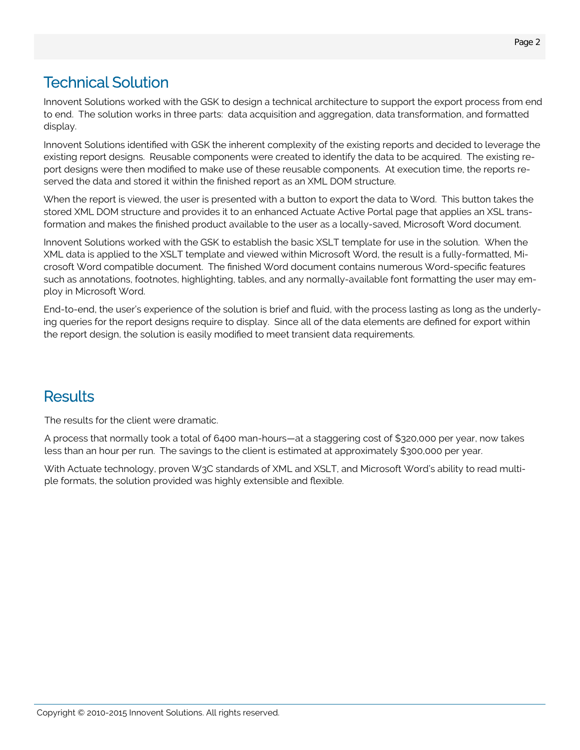# Technical Solution

Innovent Solutions worked with the GSK to design a technical architecture to support the export process from end to end. The solution works in three parts: data acquisition and aggregation, data transformation, and formatted display.

Innovent Solutions identified with GSK the inherent complexity of the existing reports and decided to leverage the existing report designs. Reusable components were created to identify the data to be acquired. The existing report designs were then modified to make use of these reusable components. At execution time, the reports reserved the data and stored it within the finished report as an XML DOM structure.

When the report is viewed, the user is presented with a button to export the data to Word. This button takes the stored XML DOM structure and provides it to an enhanced Actuate Active Portal page that applies an XSL transformation and makes the finished product available to the user as a locally-saved, Microsoft Word document.

Innovent Solutions worked with the GSK to establish the basic XSLT template for use in the solution. When the XML data is applied to the XSLT template and viewed within Microsoft Word, the result is a fully-formatted, Microsoft Word compatible document. The finished Word document contains numerous Word-specific features such as annotations, footnotes, highlighting, tables, and any normally-available font formatting the user may employ in Microsoft Word.

End-to-end, the user's experience of the solution is brief and fluid, with the process lasting as long as the underlying queries for the report designs require to display. Since all of the data elements are defined for export within the report design, the solution is easily modified to meet transient data requirements.

### **Results**

The results for the client were dramatic.

A process that normally took a total of 6400 man-hours—at a staggering cost of \$320,000 per year, now takes less than an hour per run. The savings to the client is estimated at approximately \$300,000 per year.

With Actuate technology, proven W3C standards of XML and XSLT, and Microsoft Word's ability to read multiple formats, the solution provided was highly extensible and flexible.